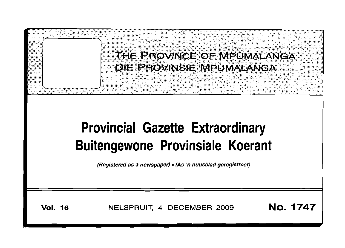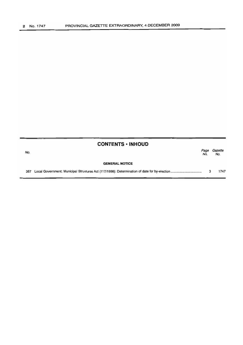|     | <b>CONTENTS • INHOUD</b> |             |                |
|-----|--------------------------|-------------|----------------|
| No. |                          | Page<br>No. | Gazette<br>No. |
|     | <b>GENERAL NOTICE</b>    |             |                |
| 387 |                          |             | 1747           |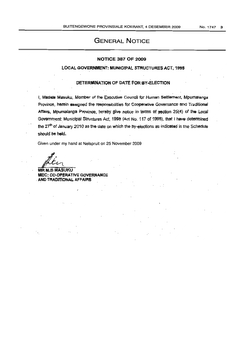# GENERAL NOTICE

### NOTICE 387 OF 2009

## LOCAL GOVERNMENT: MUNICIPAL STRUCTURES ACT, 1998

#### DETERMINATION OF DATE FOR BY-ELECTION

I, Madala Masuku, Member of the Executive Council for Human Settlement, Mpumalanga Province, herein assigned the responsibilities for Cooperative Governance and Traditional Affairs, Mpumalanga Province, hereby give notice in terms of section 25(4) of the Local Government: Municipal Structures Act, 1998 (Act No. 117 of 1998), that I have determined the 27<sup>th</sup> of January 2010 as the date on which the by-elections as indicated in the Schedule should be held.

Given under my hand at Nelspruit on 25 November 2009

**MR M.B MASUKU** MEC: CO-OPERATIVE GOVERNANCE AND TRADITIONAL AFFAIRS